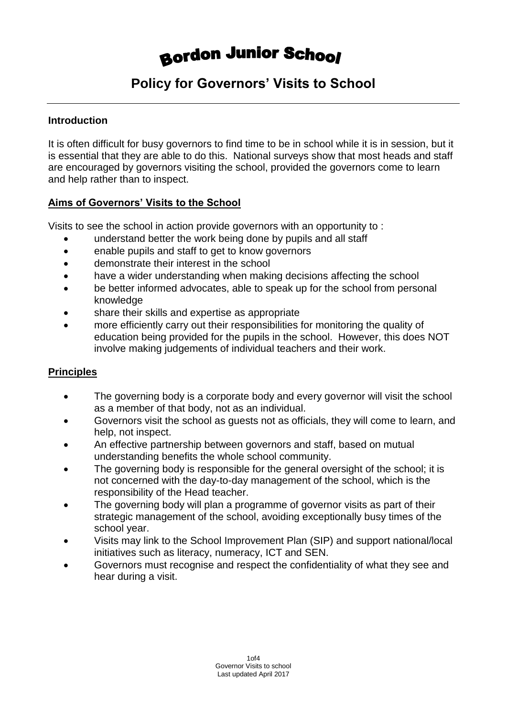# **Bordon Junior School**

# **Policy for Governors' Visits to School**

#### **Introduction**

It is often difficult for busy governors to find time to be in school while it is in session, but it is essential that they are able to do this. National surveys show that most heads and staff are encouraged by governors visiting the school, provided the governors come to learn and help rather than to inspect.

#### **Aims of Governors' Visits to the School**

Visits to see the school in action provide governors with an opportunity to :

- understand better the work being done by pupils and all staff
- enable pupils and staff to get to know governors
- demonstrate their interest in the school
- have a wider understanding when making decisions affecting the school
- be better informed advocates, able to speak up for the school from personal knowledge
- share their skills and expertise as appropriate
- more efficiently carry out their responsibilities for monitoring the quality of education being provided for the pupils in the school. However, this does NOT involve making judgements of individual teachers and their work.

#### **Principles**

- The governing body is a corporate body and every governor will visit the school as a member of that body, not as an individual.
- Governors visit the school as guests not as officials, they will come to learn, and help, not inspect.
- An effective partnership between governors and staff, based on mutual understanding benefits the whole school community.
- The governing body is responsible for the general oversight of the school; it is not concerned with the day-to-day management of the school, which is the responsibility of the Head teacher.
- The governing body will plan a programme of governor visits as part of their strategic management of the school, avoiding exceptionally busy times of the school year.
- Visits may link to the School Improvement Plan (SIP) and support national/local initiatives such as literacy, numeracy, ICT and SEN.
- Governors must recognise and respect the confidentiality of what they see and hear during a visit.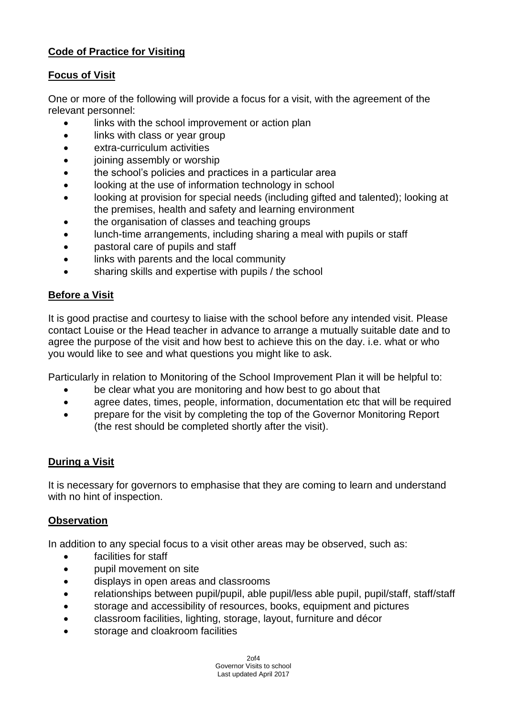# **Code of Practice for Visiting**

### **Focus of Visit**

One or more of the following will provide a focus for a visit, with the agreement of the relevant personnel:

- links with the school improvement or action plan
- links with class or year group
- extra-curriculum activities
- joining assembly or worship
- the school's policies and practices in a particular area
- looking at the use of information technology in school
- looking at provision for special needs (including gifted and talented); looking at the premises, health and safety and learning environment
- the organisation of classes and teaching groups
- lunch-time arrangements, including sharing a meal with pupils or staff
- pastoral care of pupils and staff
- links with parents and the local community
- sharing skills and expertise with pupils / the school

### **Before a Visit**

It is good practise and courtesy to liaise with the school before any intended visit. Please contact Louise or the Head teacher in advance to arrange a mutually suitable date and to agree the purpose of the visit and how best to achieve this on the day. i.e. what or who you would like to see and what questions you might like to ask.

Particularly in relation to Monitoring of the School Improvement Plan it will be helpful to:

- be clear what you are monitoring and how best to go about that
- agree dates, times, people, information, documentation etc that will be required
- prepare for the visit by completing the top of the Governor Monitoring Report (the rest should be completed shortly after the visit).

# **During a Visit**

It is necessary for governors to emphasise that they are coming to learn and understand with no hint of inspection.

#### **Observation**

In addition to any special focus to a visit other areas may be observed, such as:

- facilities for staff
- pupil movement on site
- displays in open areas and classrooms
- relationships between pupil/pupil, able pupil/less able pupil, pupil/staff, staff/staff
- storage and accessibility of resources, books, equipment and pictures
- classroom facilities, lighting, storage, layout, furniture and décor
- storage and cloakroom facilities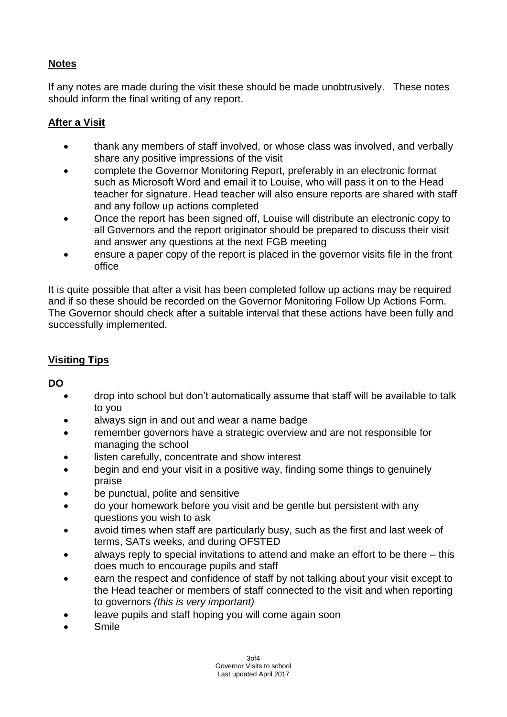# **Notes**

If any notes are made during the visit these should be made unobtrusively. These notes should inform the final writing of any report.

# **After a Visit**

- thank any members of staff involved, or whose class was involved, and verbally share any positive impressions of the visit
- complete the Governor Monitoring Report, preferably in an electronic format such as Microsoft Word and email it to Louise, who will pass it on to the Head teacher for signature. Head teacher will also ensure reports are shared with staff and any follow up actions completed
- Once the report has been signed off, Louise will distribute an electronic copy to all Governors and the report originator should be prepared to discuss their visit and answer any questions at the next FGB meeting
- ensure a paper copy of the report is placed in the governor visits file in the front office

It is quite possible that after a visit has been completed follow up actions may be required and if so these should be recorded on the Governor Monitoring Follow Up Actions Form. The Governor should check after a suitable interval that these actions have been fully and successfully implemented.

# **Visiting Tips**

#### **DO**

- drop into school but don't automatically assume that staff will be available to talk to you
- always sign in and out and wear a name badge
- remember governors have a strategic overview and are not responsible for managing the school
- listen carefully, concentrate and show interest
- begin and end your visit in a positive way, finding some things to genuinely praise
- be punctual, polite and sensitive
- do your homework before you visit and be gentle but persistent with any questions you wish to ask
- avoid times when staff are particularly busy, such as the first and last week of terms, SATs weeks, and during OFSTED
- always reply to special invitations to attend and make an effort to be there this does much to encourage pupils and staff
- earn the respect and confidence of staff by not talking about your visit except to the Head teacher or members of staff connected to the visit and when reporting to governors *(this is very important)*
- leave pupils and staff hoping you will come again soon
- Smile